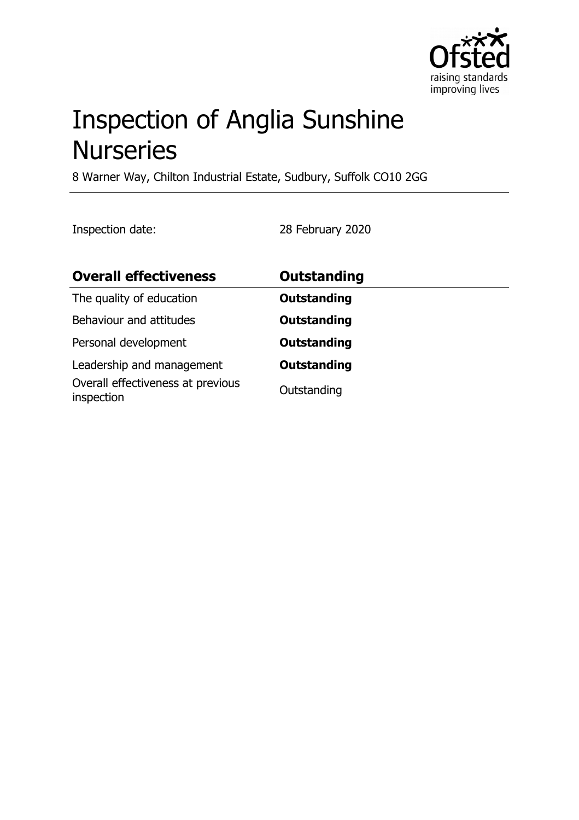

# Inspection of Anglia Sunshine **Nurseries**

8 Warner Way, Chilton Industrial Estate, Sudbury, Suffolk CO10 2GG

Inspection date: 28 February 2020

| <b>Overall effectiveness</b>                                                 | <b>Outstanding</b>                |
|------------------------------------------------------------------------------|-----------------------------------|
| The quality of education                                                     | <b>Outstanding</b>                |
| Behaviour and attitudes                                                      | <b>Outstanding</b>                |
| Personal development                                                         | <b>Outstanding</b>                |
| Leadership and management<br>Overall effectiveness at previous<br>inspection | <b>Outstanding</b><br>Outstanding |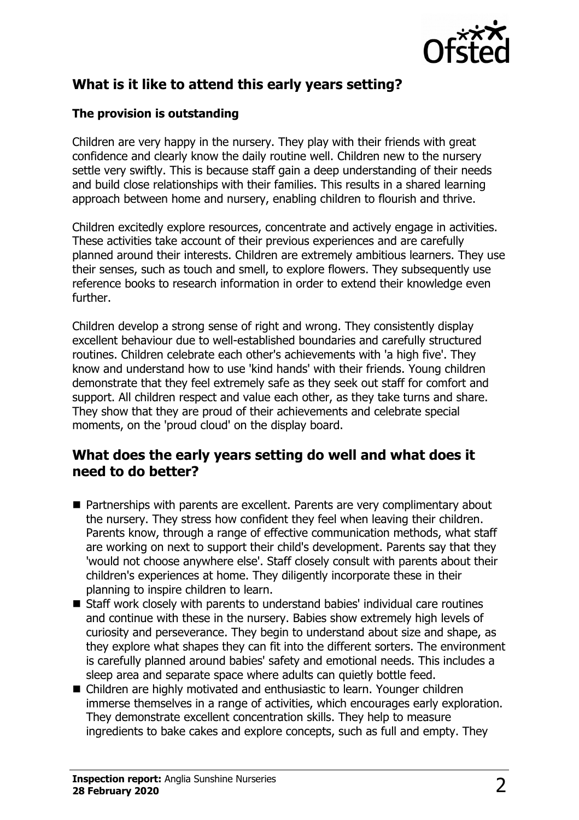

# **What is it like to attend this early years setting?**

#### **The provision is outstanding**

Children are very happy in the nursery. They play with their friends with great confidence and clearly know the daily routine well. Children new to the nursery settle very swiftly. This is because staff gain a deep understanding of their needs and build close relationships with their families. This results in a shared learning approach between home and nursery, enabling children to flourish and thrive.

Children excitedly explore resources, concentrate and actively engage in activities. These activities take account of their previous experiences and are carefully planned around their interests. Children are extremely ambitious learners. They use their senses, such as touch and smell, to explore flowers. They subsequently use reference books to research information in order to extend their knowledge even further.

Children develop a strong sense of right and wrong. They consistently display excellent behaviour due to well-established boundaries and carefully structured routines. Children celebrate each other's achievements with 'a high five'. They know and understand how to use 'kind hands' with their friends. Young children demonstrate that they feel extremely safe as they seek out staff for comfort and support. All children respect and value each other, as they take turns and share. They show that they are proud of their achievements and celebrate special moments, on the 'proud cloud' on the display board.

### **What does the early years setting do well and what does it need to do better?**

- Partnerships with parents are excellent. Parents are very complimentary about the nursery. They stress how confident they feel when leaving their children. Parents know, through a range of effective communication methods, what staff are working on next to support their child's development. Parents say that they 'would not choose anywhere else'. Staff closely consult with parents about their children's experiences at home. They diligently incorporate these in their planning to inspire children to learn.
- Staff work closely with parents to understand babies' individual care routines and continue with these in the nursery. Babies show extremely high levels of curiosity and perseverance. They begin to understand about size and shape, as they explore what shapes they can fit into the different sorters. The environment is carefully planned around babies' safety and emotional needs. This includes a sleep area and separate space where adults can quietly bottle feed.
- Children are highly motivated and enthusiastic to learn. Younger children immerse themselves in a range of activities, which encourages early exploration. They demonstrate excellent concentration skills. They help to measure ingredients to bake cakes and explore concepts, such as full and empty. They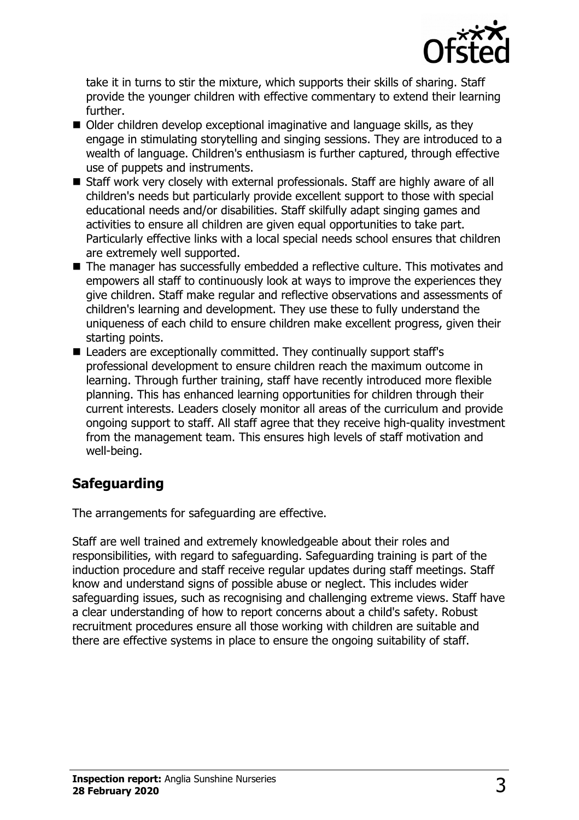

take it in turns to stir the mixture, which supports their skills of sharing. Staff provide the younger children with effective commentary to extend their learning further.

- $\blacksquare$  Older children develop exceptional imaginative and language skills, as they engage in stimulating storytelling and singing sessions. They are introduced to a wealth of language. Children's enthusiasm is further captured, through effective use of puppets and instruments.
- Staff work very closely with external professionals. Staff are highly aware of all children's needs but particularly provide excellent support to those with special educational needs and/or disabilities. Staff skilfully adapt singing games and activities to ensure all children are given equal opportunities to take part. Particularly effective links with a local special needs school ensures that children are extremely well supported.
- $\blacksquare$  The manager has successfully embedded a reflective culture. This motivates and empowers all staff to continuously look at ways to improve the experiences they give children. Staff make regular and reflective observations and assessments of children's learning and development. They use these to fully understand the uniqueness of each child to ensure children make excellent progress, given their starting points.
- Leaders are exceptionally committed. They continually support staff's professional development to ensure children reach the maximum outcome in learning. Through further training, staff have recently introduced more flexible planning. This has enhanced learning opportunities for children through their current interests. Leaders closely monitor all areas of the curriculum and provide ongoing support to staff. All staff agree that they receive high-quality investment from the management team. This ensures high levels of staff motivation and well-being.

# **Safeguarding**

The arrangements for safeguarding are effective.

Staff are well trained and extremely knowledgeable about their roles and responsibilities, with regard to safeguarding. Safeguarding training is part of the induction procedure and staff receive regular updates during staff meetings. Staff know and understand signs of possible abuse or neglect. This includes wider safeguarding issues, such as recognising and challenging extreme views. Staff have a clear understanding of how to report concerns about a child's safety. Robust recruitment procedures ensure all those working with children are suitable and there are effective systems in place to ensure the ongoing suitability of staff.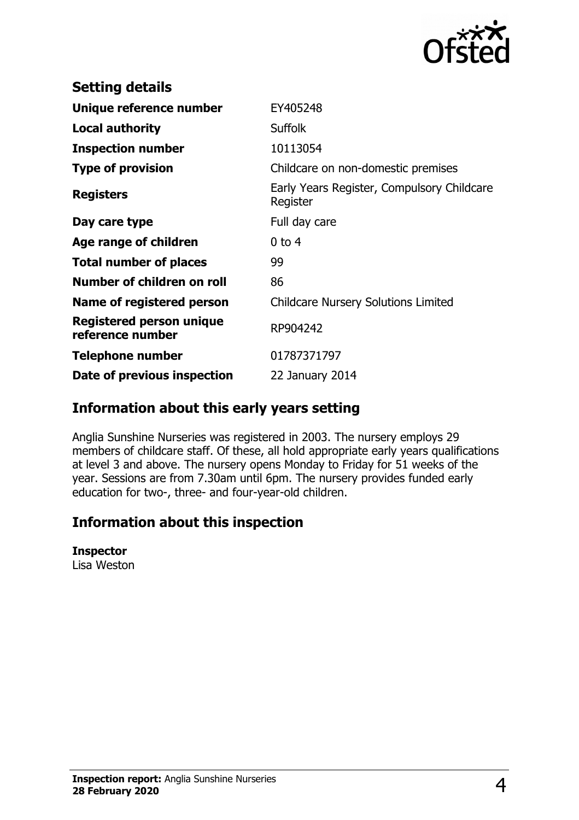

| EY405248                                               |
|--------------------------------------------------------|
| <b>Suffolk</b>                                         |
| 10113054                                               |
| Childcare on non-domestic premises                     |
| Early Years Register, Compulsory Childcare<br>Register |
| Full day care                                          |
| $0$ to 4                                               |
| 99                                                     |
| 86                                                     |
| <b>Childcare Nursery Solutions Limited</b>             |
| RP904242                                               |
| 01787371797                                            |
| 22 January 2014                                        |
|                                                        |

## **Information about this early years setting**

Anglia Sunshine Nurseries was registered in 2003. The nursery employs 29 members of childcare staff. Of these, all hold appropriate early years qualifications at level 3 and above. The nursery opens Monday to Friday for 51 weeks of the year. Sessions are from 7.30am until 6pm. The nursery provides funded early education for two-, three- and four-year-old children.

# **Information about this inspection**

#### **Inspector**

Lisa Weston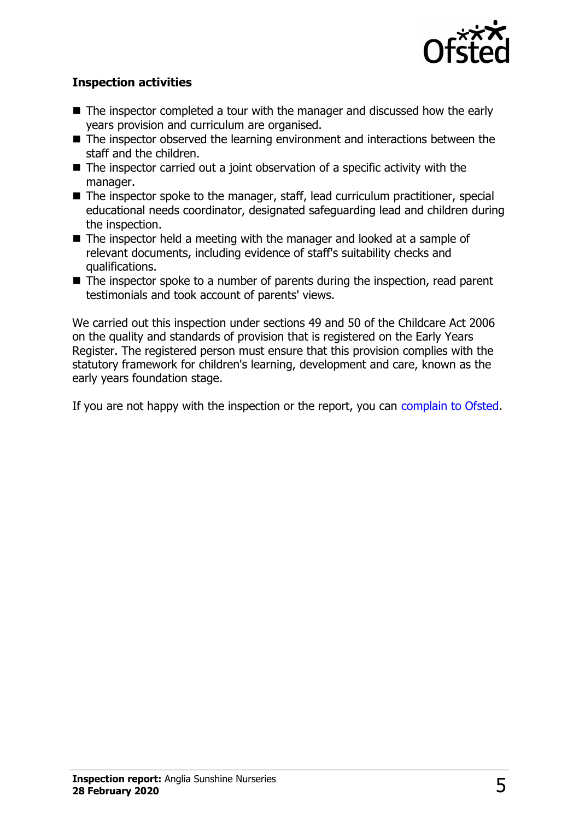

#### **Inspection activities**

- $\blacksquare$  The inspector completed a tour with the manager and discussed how the early years provision and curriculum are organised.
- $\blacksquare$  The inspector observed the learning environment and interactions between the staff and the children.
- $\blacksquare$  The inspector carried out a joint observation of a specific activity with the manager.
- $\blacksquare$  The inspector spoke to the manager, staff, lead curriculum practitioner, special educational needs coordinator, designated safeguarding lead and children during the inspection.
- $\blacksquare$  The inspector held a meeting with the manager and looked at a sample of relevant documents, including evidence of staff's suitability checks and qualifications.
- $\blacksquare$  The inspector spoke to a number of parents during the inspection, read parent testimonials and took account of parents' views.

We carried out this inspection under sections 49 and 50 of the Childcare Act 2006 on the quality and standards of provision that is registered on the Early Years Register. The registered person must ensure that this provision complies with the statutory framework for children's learning, development and care, known as the early years foundation stage.

If you are not happy with the inspection or the report, you can [complain to Ofsted.](http://www.gov.uk/complain-ofsted-report)